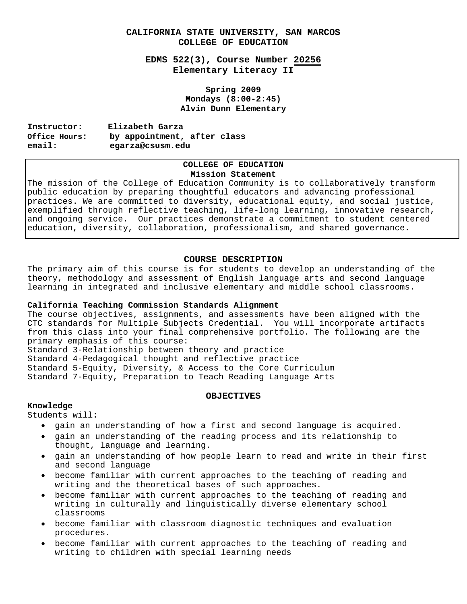# **CALIFORNIA STATE UNIVERSITY, SAN MARCOS COLLEGE OF EDUCATION**

**EDMS 522(3), Course Number 20256 Elementary Literacy II** 

> **Spring 2009 Mondays (8:00-2:45) Alvin Dunn Elementary**

| Instructor:   | Elizabeth Garza             |  |  |
|---------------|-----------------------------|--|--|
| Office Hours: | by appointment, after class |  |  |
| email:        | egarza@csusm.edu            |  |  |

## **COLLEGE OF EDUCATION Mission Statement**

The mission of the College of Education Community is to collaboratively transform public education by preparing thoughtful educators and advancing professional practices. We are committed to diversity, educational equity, and social justice, exemplified through reflective teaching, life-long learning, innovative research, and ongoing service. Our practices demonstrate a commitment to student centered education, diversity, collaboration, professionalism, and shared governance.

## **COURSE DESCRIPTION**

The primary aim of this course is for students to develop an understanding of the theory, methodology and assessment of English language arts and second language learning in integrated and inclusive elementary and middle school classrooms.

#### **California Teaching Commission Standards Alignment**

The course objectives, assignments, and assessments have been aligned with the CTC standards for Multiple Subjects Credential. You will incorporate artifacts from this class into your final comprehensive portfolio. The following are the primary emphasis of this course:

Standard 3-Relationship between theory and practice

Standard 4-Pedagogical thought and reflective practice

Standard 5-Equity, Diversity, & Access to the Core Curriculum

Standard 7-Equity, Preparation to Teach Reading Language Arts

#### **OBJECTIVES**

# **Knowledge**

Students will:

- gain an understanding of how a first and second language is acquired.
- gain an understanding of the reading process and its relationship to thought, language and learning.
- • gain an understanding of how people learn to read and write in their first and second language
- • become familiar with current approaches to the teaching of reading and writing and the theoretical bases of such approaches.
- • become familiar with current approaches to the teaching of reading and writing in culturally and linguistically diverse elementary school classrooms
- become familiar with classroom diagnostic techniques and evaluation procedures.
- • become familiar with current approaches to the teaching of reading and writing to children with special learning needs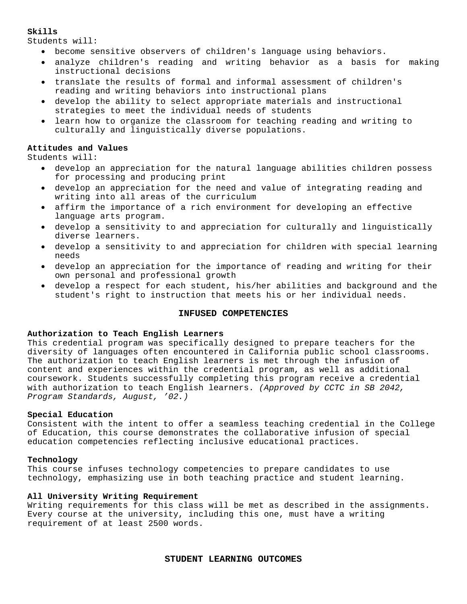#### **Skills**

Students will:

- • become sensitive observers of children's language using behaviors.
- • analyze children's reading and writing behavior as a basis for making instructional decisions
- • translate the results of formal and informal assessment of children's reading and writing behaviors into instructional plans
- • develop the ability to select appropriate materials and instructional strategies to meet the individual needs of students
- learn how to organize the classroom for teaching reading and writing to culturally and linguistically diverse populations.

### **Attitudes and Values**

Students will:

- develop an appreciation for the natural language abilities children possess for processing and producing print
- • develop an appreciation for the need and value of integrating reading and writing into all areas of the curriculum
- • affirm the importance of a rich environment for developing an effective language arts program.
- • develop a sensitivity to and appreciation for culturally and linguistically diverse learners.
- develop a sensitivity to and appreciation for children with special learning needs
- • develop an appreciation for the importance of reading and writing for their own personal and professional growth
- • develop a respect for each student, his/her abilities and background and the student's right to instruction that meets his or her individual needs.

#### **INFUSED COMPETENCIES**

#### **Authorization to Teach English Learners**

This credential program was specifically designed to prepare teachers for the diversity of languages often encountered in California public school classrooms. The authorization to teach English learners is met through the infusion of content and experiences within the credential program, as well as additional coursework. Students successfully completing this program receive a credential with authorization to teach English learners. *(Approved by CCTC in SB 2042, Program Standards, August, '02.)* 

## **Special Education**

Consistent with the intent to offer a seamless teaching credential in the College of Education, this course demonstrates the collaborative infusion of special education competencies reflecting inclusive educational practices.

#### **Technology**

This course infuses technology competencies to prepare candidates to use technology, emphasizing use in both teaching practice and student learning.

#### **All University Writing Requirement**

Writing requirements for this class will be met as described in the assignments. Every course at the university, including this one, must have a writing requirement of at least 2500 words.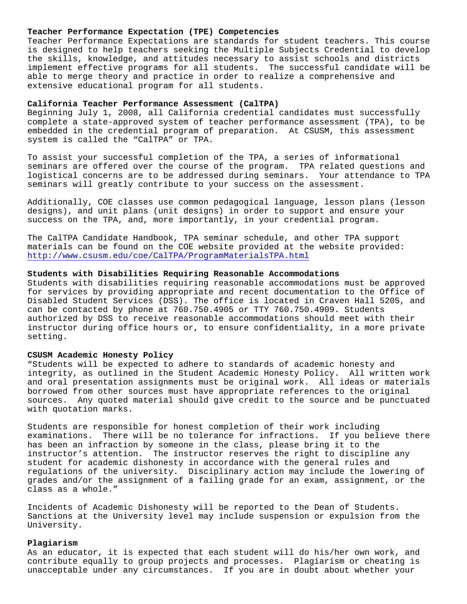#### **Teacher Performance Expectation (TPE) Competencies**

Teacher Performance Expectations are standards for student teachers. This course is designed to help teachers seeking the Multiple Subjects Credential to develop the skills, knowledge, and attitudes necessary to assist schools and districts implement effective programs for all students. The successful candidate will be able to merge theory and practice in order to realize a comprehensive and extensive educational program for all students.

#### **California Teacher Performance Assessment (CalTPA)**

Beginning July 1, 2008, all California credential candidates must successfully complete a state-approved system of teacher performance assessment (TPA), to be embedded in the credential program of preparation. At CSUSM, this assessment system is called the "CalTPA" or TPA.

To assist your successful completion of the TPA, a series of informational seminars are offered over the course of the program. TPA related questions and logistical concerns are to be addressed during seminars. Your attendance to TPA seminars will greatly contribute to your success on the assessment.

Additionally, COE classes use common pedagogical language, lesson plans (lesson designs), and unit plans (unit designs) in order to support and ensure your success on the TPA, and, more importantly, in your credential program.

The CalTPA Candidate Handbook, TPA seminar schedule, and other TPA support materials can be found on the COE website provided at the website provided: http://www.csusm.edu/coe/CalTPA/ProgramMaterialsTPA.html

## **Students with Disabilities Requiring Reasonable Accommodations**

Students with disabilities requiring reasonable accommodations must be approved for services by providing appropriate and recent documentation to the Office of Disabled Student Services (DSS). The office is located in Craven Hall 5205, and can be contacted by phone at 760.750.4905 or TTY 760.750.4909. Students authorized by DSS to receive reasonable accommodations should meet with their instructor during office hours or, to ensure confidentiality, in a more private setting.

#### **CSUSM Academic Honesty Policy**

"Students will be expected to adhere to standards of academic honesty and integrity, as outlined in the Student Academic Honesty Policy. All written work and oral presentation assignments must be original work. All ideas or materials borrowed from other sources must have appropriate references to the original sources. Any quoted material should give credit to the source and be punctuated with quotation marks.

Students are responsible for honest completion of their work including examinations. There will be no tolerance for infractions. If you believe there has been an infraction by someone in the class, please bring it to the instructor's attention. The instructor reserves the right to discipline any student for academic dishonesty in accordance with the general rules and regulations of the university. Disciplinary action may include the lowering of grades and/or the assignment of a failing grade for an exam, assignment, or the class as a whole."

Incidents of Academic Dishonesty will be reported to the Dean of Students. Sanctions at the University level may include suspension or expulsion from the University.

#### **Plagiarism**

As an educator, it is expected that each student will do his/her own work, and contribute equally to group projects and processes. Plagiarism or cheating is unacceptable under any circumstances. If you are in doubt about whether your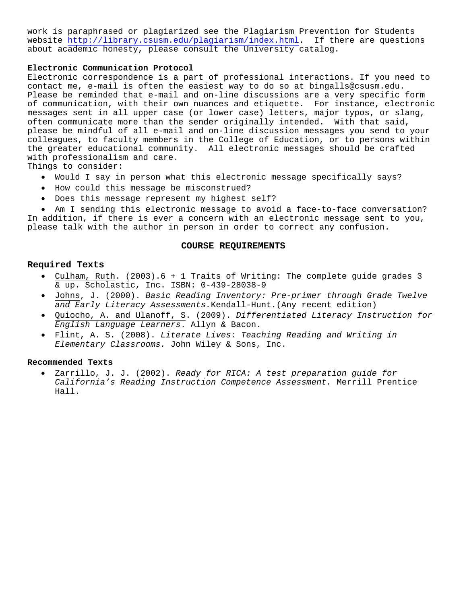work is paraphrased or plagiarized see the Plagiarism Prevention for Students website http://library.csusm.edu/plagiarism/index.html. If there are questions about academic honesty, please consult the University catalog.

### **Electronic Communication Protocol**

Electronic correspondence is a part of professional interactions. If you need to contact me, e-mail is often the easiest way to do so at bingalls@csusm.edu. Please be reminded that e-mail and on-line discussions are a very specific form of communication, with their own nuances and etiquette. For instance, electronic messages sent in all upper case (or lower case) letters, major typos, or slang, often communicate more than the sender originally intended. With that said, please be mindful of all e-mail and on-line discussion messages you send to your colleagues, to faculty members in the College of Education, or to persons within the greater educational community. All electronic messages should be crafted with professionalism and care.

Things to consider:

- • Would I say in person what this electronic message specifically says?
- • How could this message be misconstrued?
- • Does this message represent my highest self?

• Am I sending this electronic message to avoid a face-to-face conversation? In addition, if there is ever a concern with an electronic message sent to you,

please talk with the author in person in order to correct any confusion.

#### **COURSE REQUIREMENTS**

#### **Required Texts**

- • Culham, Ruth. (2003).6 + 1 Traits of Writing: The complete guide grades 3 & up. Scholastic, Inc. ISBN: 0-439-28038-9
- • Johns, J. (2000). *Basic Reading Inventory: Pre-primer through Grade Twelve and Early Literacy Assessments.*Kendall-Hunt.(Any recent edition)
- • Quiocho, A. and Ulanoff, S. (2009). *Differentiated Literacy Instruction for English Language Learners*. Allyn & Bacon.
- • Flint, A. S. (2008). *Literate Lives: Teaching Reading and Writing in Elementary Classrooms.* John Wiley & Sons, Inc.

#### **Recommended Texts**

Zarrillo, J. J. (2002). *Ready for RICA: A test preparation guide for California's Reading Instruction Competence Assessment.* Merrill Prentice Hall.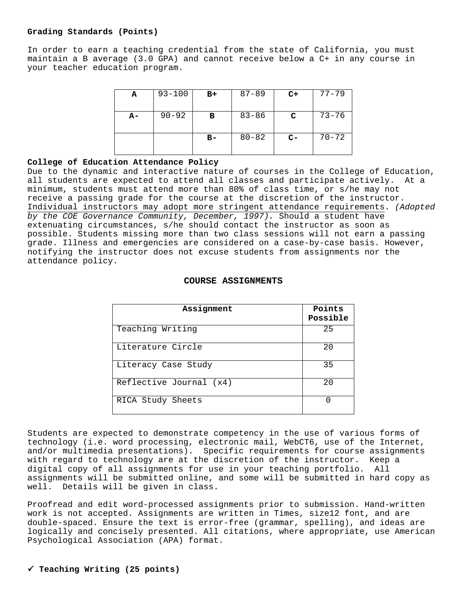#### **Grading Standards (Points)**

In order to earn a teaching credential from the state of California, you must maintain a B average (3.0 GPA) and cannot receive below a C+ in any course in your teacher education program.

| A    | $93 - 100$ | $B+$  | $87 - 89$ | $C+$ | $77 - 79$ |
|------|------------|-------|-----------|------|-----------|
| $A-$ | $90 - 92$  | в     | $83 - 86$ | C    | $73 - 76$ |
|      |            | $B -$ | $80 - 82$ | $C-$ | $70 - 72$ |

## **College of Education Attendance Policy**

Due to the dynamic and interactive nature of courses in the College of Education, all students are expected to attend all classes and participate actively. At a minimum, students must attend more than 80% of class time, or s/he may not receive a passing grade for the course at the discretion of the instructor. Individual instructors may adopt more stringent attendance requirements. *(Adopted by the COE Governance Community, December, 1997).* Should a student have extenuating circumstances, s/he should contact the instructor as soon as possible. Students missing more than two class sessions will not earn a passing grade. Illness and emergencies are considered on a case-by-case basis. However, notifying the instructor does not excuse students from assignments nor the attendance policy.

# **COURSE ASSIGNMENTS**

| Assignment              | Points<br>Possible |
|-------------------------|--------------------|
| Teaching Writing        | 25                 |
| Literature Circle       | 20                 |
| Literacy Case Study     | 35                 |
| Reflective Journal (x4) | 2.0                |
| RICA Study Sheets       |                    |

Students are expected to demonstrate competency in the use of various forms of technology (i.e. word processing, electronic mail, WebCT6, use of the Internet, and/or multimedia presentations). Specific requirements for course assignments with regard to technology are at the discretion of the instructor. Keep a digital copy of all assignments for use in your teaching portfolio. All assignments will be submitted online, and some will be submitted in hard copy as well. Details will be given in class.

Proofread and edit word-processed assignments prior to submission. Hand-written work is not accepted. Assignments are written in Times, size12 font, and are double-spaced. Ensure the text is error-free (grammar, spelling), and ideas are logically and concisely presented. All citations, where appropriate, use American Psychological Association (APA) format.

# 9 **Teaching Writing (25 points)**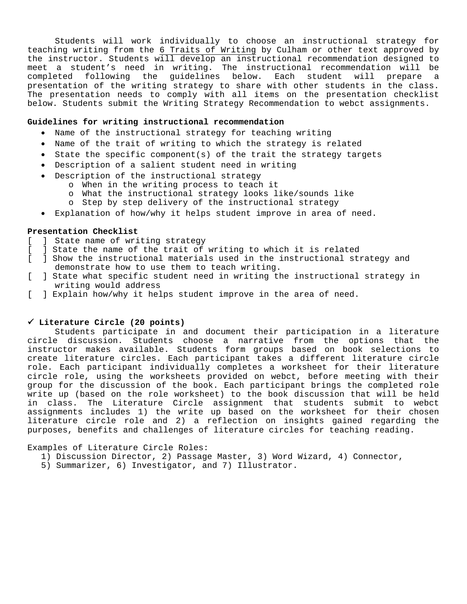Students will work individually to choose an instructional strategy for teaching writing from the 6 Traits of Writing by Culham or other text approved by the instructor. Students will develop an instructional recommendation designed to meet a student's need in writing. The instructional recommendation will be completed following the guidelines below. Each student will prepare a presentation of the writing strategy to share with other students in the class. The presentation needs to comply with all items on the presentation checklist below. Students submit the Writing Strategy Recommendation to webct assignments.

## **Guidelines for writing instructional recommendation**

- Name of the instructional strategy for teaching writing
- Name of the trait of writing to which the strategy is related
- State the specific component(s) of the trait the strategy targets
- Description of a salient student need in writing
- Description of the instructional strategy
	- o When in the writing process to teach it
		- o What the instructional strategy looks like/sounds like
		- o Step by step delivery of the instructional strategy
- Explanation of how/why it helps student improve in area of need.

#### **Presentation Checklist**

- [ ] State name of writing strategy
- [ ] State the name of the trait of writing to which it is related
- [ ] Show the instructional materials used in the instructional strategy and demonstrate how to use them to teach writing.
- [ ] State what specific student need in writing the instructional strategy in writing would address
- [ ] Explain how/why it helps student improve in the area of need.

#### 9 **Literature Circle (20 points)**

Students participate in and document their participation in a literature circle discussion. Students choose a narrative from the options that the instructor makes available. Students form groups based on book selections to create literature circles. Each participant takes a different literature circle role. Each participant individually completes a worksheet for their literature circle role, using the worksheets provided on webct, before meeting with their group for the discussion of the book. Each participant brings the completed role write up (based on the role worksheet) to the book discussion that will be held in class. The Literature Circle assignment that students submit to webct assignments includes 1) the write up based on the worksheet for their chosen literature circle role and 2) a reflection on insights gained regarding the purposes, benefits and challenges of literature circles for teaching reading.

Examples of Literature Circle Roles:

- 1) Discussion Director, 2) Passage Master, 3) Word Wizard, 4) Connector,
- 5) Summarizer, 6) Investigator, and 7) Illustrator.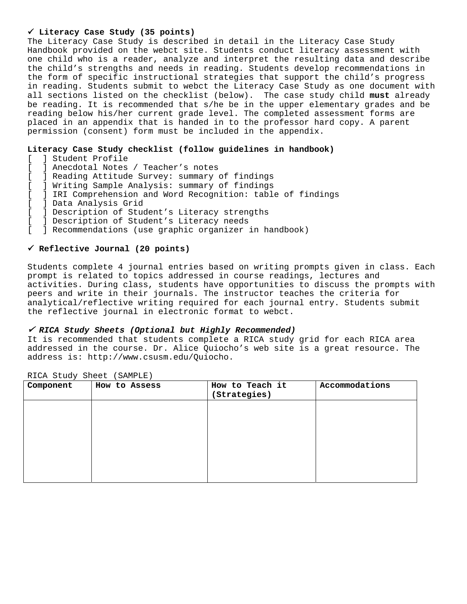## 9 **Literacy Case Study (35 points)**

The Literacy Case Study is described in detail in the Literacy Case Study Handbook provided on the webct site. Students conduct literacy assessment with one child who is a reader, analyze and interpret the resulting data and describe the child's strengths and needs in reading. Students develop recommendations in the form of specific instructional strategies that support the child's progress in reading. Students submit to webct the Literacy Case Study as one document with all sections listed on the checklist (below). The case study child **must** already be reading. It is recommended that s/he be in the upper elementary grades and be reading below his/her current grade level. The completed assessment forms are placed in an appendix that is handed in to the professor hard copy. A parent permission (consent) form must be included in the appendix.

## **Literacy Case Study checklist (follow guidelines in handbook)**

- [ ] Student Profile
- [ ] Anecdotal Notes / Teacher's notes
- [ ] Reading Attitude Survey: summary of findings
- [ ] Writing Sample Analysis: summary of findings
- [ ] IRI Comprehension and Word Recognition: table of findings
- [ ] Data Analysis Grid
- [ ] Description of Student's Literacy strengths
- [ ] Description of Student's Literacy needs<br>[ ] Recommendations (use graphic organizer :
- ] Recommendations (use graphic organizer in handbook)

## 9 **Reflective Journal (20 points)**

Students complete 4 journal entries based on writing prompts given in class. Each prompt is related to topics addressed in course readings, lectures and activities. During class, students have opportunities to discuss the prompts with peers and write in their journals. The instructor teaches the criteria for analytical/reflective writing required for each journal entry. Students submit the reflective journal in electronic format to webct.

#### <sup>9</sup> *RICA Study Sheets (Optional but Highly Recommended)*

It is recommended that students complete a RICA study grid for each RICA area addressed in the course. Dr. Alice Quiocho's web site is a great resource. The address is: http://www.csusm.edu/Quiocho.

| Component | How to Assess | How to Teach it<br>(Strategies) | Accommodations |
|-----------|---------------|---------------------------------|----------------|
|           |               |                                 |                |
|           |               |                                 |                |
|           |               |                                 |                |
|           |               |                                 |                |
|           |               |                                 |                |

RICA Study Sheet (SAMPLE)